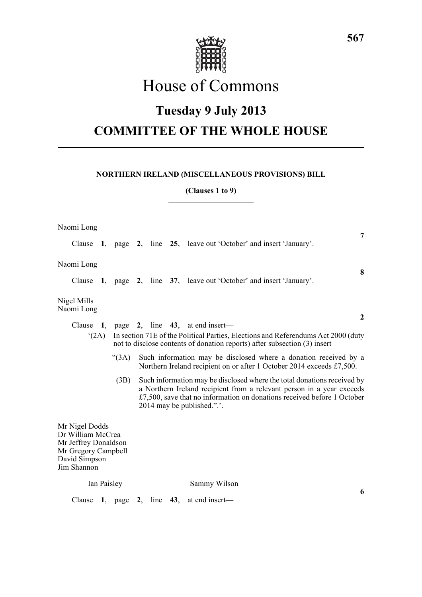

# House of Commons

## **Tuesday 9 July 2013**

## **COMMITTEE OF THE WHOLE HOUSE**

## **NORTHERN IRELAND (MISCELLANEOUS PROVISIONS) BILL**

**(Clauses 1 to 9)**

| Naomi Long                                                                                                                                                              |  |                 |  |  |  | 7                                                                                                                                                                                                                                                         |  |
|-------------------------------------------------------------------------------------------------------------------------------------------------------------------------|--|-----------------|--|--|--|-----------------------------------------------------------------------------------------------------------------------------------------------------------------------------------------------------------------------------------------------------------|--|
|                                                                                                                                                                         |  |                 |  |  |  | Clause 1, page 2, line 25, leave out 'October' and insert 'January'.                                                                                                                                                                                      |  |
| Naomi Long                                                                                                                                                              |  |                 |  |  |  | 8                                                                                                                                                                                                                                                         |  |
|                                                                                                                                                                         |  |                 |  |  |  | Clause 1, page 2, line 37, leave out 'October' and insert 'January'.                                                                                                                                                                                      |  |
| Nigel Mills<br>Naomi Long                                                                                                                                               |  |                 |  |  |  |                                                                                                                                                                                                                                                           |  |
|                                                                                                                                                                         |  |                 |  |  |  | $\mathbf{2}$<br>Clause 1, page 2, line $43$ , at end insert—                                                                                                                                                                                              |  |
| In section 71E of the Political Parties, Elections and Referendums Act 2000 (duty<br>(2A)<br>not to disclose contents of donation reports) after subsection (3) insert— |  |                 |  |  |  |                                                                                                                                                                                                                                                           |  |
|                                                                                                                                                                         |  | (3A)            |  |  |  | Such information may be disclosed where a donation received by a<br>Northern Ireland recipient on or after 1 October 2014 exceeds £7,500.                                                                                                                 |  |
|                                                                                                                                                                         |  | (3B)            |  |  |  | Such information may be disclosed where the total donations received by<br>a Northern Ireland recipient from a relevant person in a year exceeds<br>£7,500, save that no information on donations received before 1 October<br>2014 may be published.".'. |  |
| Mr Nigel Dodds<br>Dr William McCrea<br>Mr Jeffrey Donaldson<br>Mr Gregory Campbell<br>David Simpson<br>Jim Shannon                                                      |  |                 |  |  |  |                                                                                                                                                                                                                                                           |  |
| Ian Paisley                                                                                                                                                             |  |                 |  |  |  | Sammy Wilson                                                                                                                                                                                                                                              |  |
| Clause                                                                                                                                                                  |  | 1, page 2, line |  |  |  | 6<br>43, at end insert—                                                                                                                                                                                                                                   |  |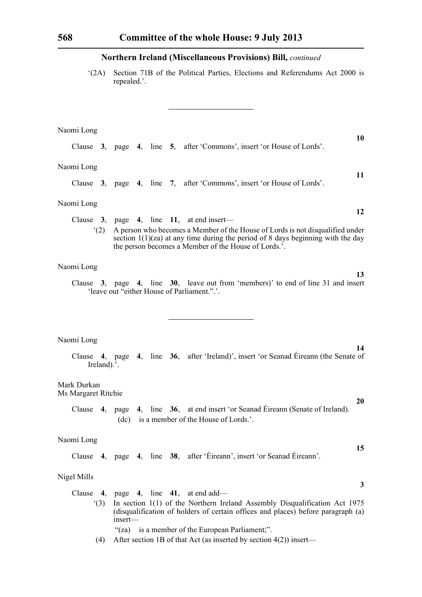Clause **3**, page **4**, line **5**, after 'Commons', insert 'or House of Lords'.

'(2A) Section 71B of the Political Parties, Elections and Referendums Act 2000 is repealed.'.

**10**

### Naomi Long

| Naomi Long                         | 11                                                                                                                                                                                                                         |
|------------------------------------|----------------------------------------------------------------------------------------------------------------------------------------------------------------------------------------------------------------------------|
|                                    | Clause 3, page 4, line 7, after 'Commons', insert 'or House of Lords'.                                                                                                                                                     |
| Naomi Long                         | 12                                                                                                                                                                                                                         |
|                                    | Clause $3$ , page $4$ , line 11, at end insert—                                                                                                                                                                            |
| (2)                                | A person who becomes a Member of the House of Lords is not disqualified under<br>section $1(1)(za)$ at any time during the period of 8 days beginning with the day<br>the person becomes a Member of the House of Lords.'. |
| Naomi Long                         | 13                                                                                                                                                                                                                         |
|                                    | Clause 3, page 4, line 30, leave out from 'members)' to end of line 31 and insert<br>'leave out "either House of Parliament.".'.                                                                                           |
|                                    |                                                                                                                                                                                                                            |
|                                    |                                                                                                                                                                                                                            |
| Naomi Long                         |                                                                                                                                                                                                                            |
| Ireland).'.                        | 14<br>Clause 4, page 4, line 36, after 'Ireland)', insert 'or Seanad Éireann (the Senate of                                                                                                                                |
| Mark Durkan<br>Ms Margaret Ritchie |                                                                                                                                                                                                                            |
|                                    | 20<br>Clause 4, page 4, line 36, at end insert 'or Seanad Éireann (Senate of Ireland).<br>(dc) is a member of the House of Lords.'.                                                                                        |
| Naomi Long                         |                                                                                                                                                                                                                            |
|                                    | 15<br>Clause 4, page 4, line 38, after 'Éireann', insert 'or Seanad Éireann'.                                                                                                                                              |
| Nigel Mills                        |                                                                                                                                                                                                                            |
|                                    | $\mathbf{3}$<br>Clause 4, page 4, line 41, at end add—                                                                                                                                                                     |
| (3)                                | In section 1(1) of the Northern Ireland Assembly Disqualification Act 1975<br>(disqualification of holders of certain offices and places) before paragraph (a)<br>$insert$ —                                               |

- "(za) is a member of the European Parliament;".
- (4) After section 1B of that Act (as inserted by section 4(2)) insert—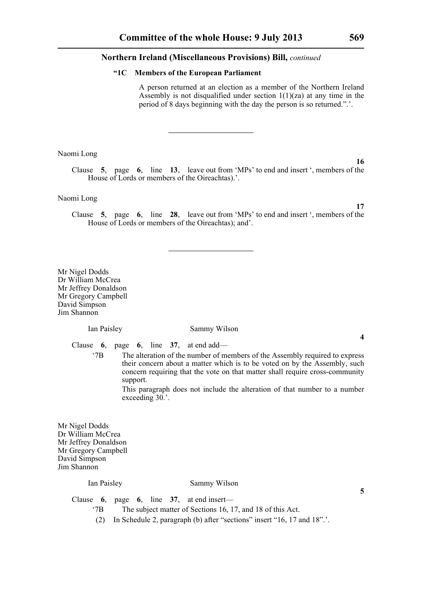#### **"1C Members of the European Parliament**

A person returned at an election as a member of the Northern Ireland Assembly is not disqualified under section  $1(1)(za)$  at any time in the period of 8 days beginning with the day the person is so returned.".'.

Naomi Long

Clause **5**, page **6**, line **13**, leave out from 'MPs' to end and insert ', members of the House of Lords or members of the Oireachtas).'.

Naomi Long

Clause **5**, page **6**, line **28**, leave out from 'MPs' to end and insert ', members of the House of Lords or members of the Oireachtas); and'.

Mr Nigel Dodds Dr William McCrea Mr Jeffrey Donaldson Mr Gregory Campbell David Simpson Jim Shannon

Ian Paisley Sammy Wilson

Clause **6**, page **6**, line **37**, at end add—

'7B The alteration of the number of members of the Assembly required to express their concern about a matter which is to be voted on by the Assembly, such concern requiring that the vote on that matter shall require cross-community support.

> This paragraph does not include the alteration of that number to a number exceeding 30.'.

Mr Nigel Dodds Dr William McCrea Mr Jeffrey Donaldson Mr Gregory Campbell David Simpson Jim Shannon

#### Ian Paisley Sammy Wilson

Clause **6**, page **6**, line **37**, at end insert—

'7B The subject matter of Sections 16, 17, and 18 of this Act.

(2) In Schedule 2, paragraph (b) after "sections" insert "16, 17 and 18".'.

**17**

**4**

**5**

**16**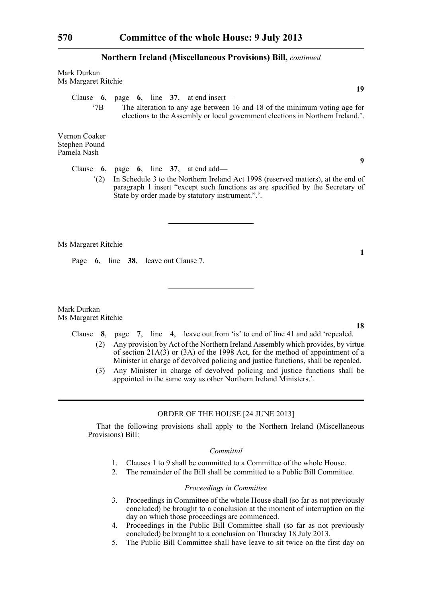Mark Durkan Ms Margaret Ritchie

Clause **6**, page **6**, line **37**, at end insert—

'7B The alteration to any age between 16 and 18 of the minimum voting age for elections to the Assembly or local government elections in Northern Ireland.'.

Vernon Coaker Stephen Pound Pamela Nash

Clause **6**, page **6**, line **37**, at end add—

'(2) In Schedule 3 to the Northern Ireland Act 1998 (reserved matters), at the end of paragraph 1 insert "except such functions as are specified by the Secretary of State by order made by statutory instrument.".'.

Ms Margaret Ritchie

Page **6**, line **38**, leave out Clause 7.

Mark Durkan Ms Margaret Ritchie

- Clause **8**, page **7**, line **4**, leave out from 'is' to end of line 41 and add 'repealed. (2) Any provision by Act of the Northern Ireland Assembly which provides, by virtue of section 21A(3) or (3A) of the 1998 Act, for the method of appointment of a Minister in charge of devolved policing and justice functions, shall be repealed.
	- (3) Any Minister in charge of devolved policing and justice functions shall be appointed in the same way as other Northern Ireland Ministers.'.

#### ORDER OF THE HOUSE [24 JUNE 2013]

That the following provisions shall apply to the Northern Ireland (Miscellaneous Provisions) Bill:

#### *Committal*

- 1. Clauses 1 to 9 shall be committed to a Committee of the whole House.
- 2. The remainder of the Bill shall be committed to a Public Bill Committee.

#### *Proceedings in Committee*

- 3. Proceedings in Committee of the whole House shall (so far as not previously concluded) be brought to a conclusion at the moment of interruption on the day on which those proceedings are commenced.
- 4. Proceedings in the Public Bill Committee shall (so far as not previously concluded) be brought to a conclusion on Thursday 18 July 2013.
- 5. The Public Bill Committee shall have leave to sit twice on the first day on

**1**

**9**

**19**

**18**